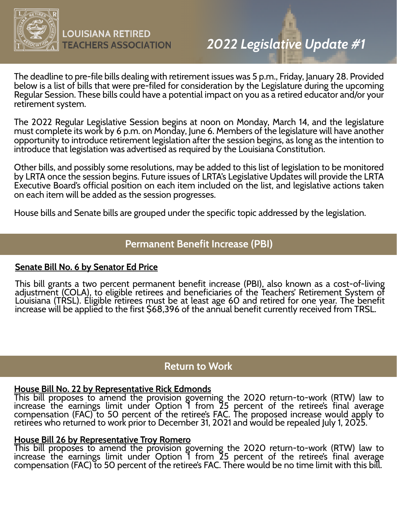

The deadline to pre-file bills dealing with retirement issues was 5 p.m., Friday, January 28. Provided below is a list of bills that were pre-filed for consideration by the Legislature during the upcoming Regular Session. These bills could have a potential impact on you as a retired educator and/or your retirement system.

The 2022 Regular Legislative Session begins at noon on Monday, March 14, and the legislature must complete its work by 6 p.m. on Monday, June 6. Members of the legislature will have another opportunity to introduce retirement legislation after the session begins, as long as the intention to introduce that legislation was advertised as required by the Louisiana Constitution.

Other bills, and possibly some resolutions, may be added to this list of legislation to be monitored by LRTA once the session begins. Future issues of LRTA's Legislative Updates will provide the LRTA Executive Board's official position on each item included on the list, and legislative actions taken on each item will be added as the session progresses.

House bills and Senate bills are grouped under the specific topic addressed by the legislation.

## **Permanent Benefit Increase (PBI)**

### **Senate Bill No. 6 by Senator Ed Price**

This bill grants a two percent permanent benefit increase (PBI), also known as a cost-of-living adjustment (COLA), to eligible retirees and beneficiaries of the Teachers' Retirement System of Louisiana (TRSL). Eligible retirees must be at least age 60 and retired for one year. The benefit increase will be applied to the first \$68,396 of the annual benefit currently received from TRSL.

# **Return to Work**

## **House Bill No. 22 by Representative Rick Edmonds**

This bill proposes to amend the provision governing the 2020 return-to-work (RTW) law to increase the earnings limit under Option 1 from 25 percent of the retiree's final average compensation (FAC) to 50 percent of the retiree's FAC. The proposed increase would apply to retirees who returned to work prior to December 31, 2021 and would be repealed July 1, 2025.

## **House Bill 26 by Representative Troy Romero**

This bill proposes to amend the provision governing the 2020 return-to-work (RTW) law to increase the earnings limit under Option 1 from 25 percent of the retiree's final average compensation (FAC) to 50 percent of the retiree's FAC. There would be no time limit with this bill.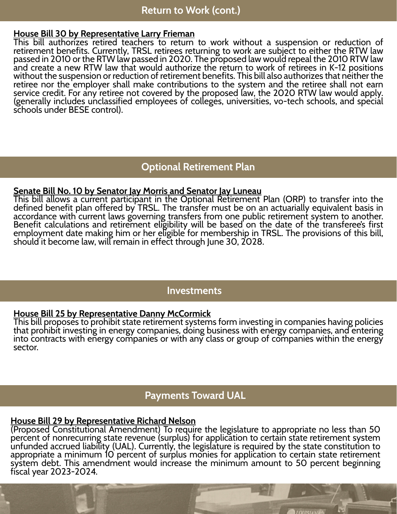#### **House Bill 30 by Representative Larry Frieman**

This bill authorizes retired teachers to return to work without a suspension or reduction of retirement benefits. Currently, TRSL retirees returning to work are subject to either the RTW law passed in 2010 or the RTW law passed in 2020. The proposed law would repeal the 2010 RTW law and create a new RTW law that would authorize the return to work of retirees in K-12 positions without the suspension or reduction of retirement benefits. This bill also authorizes that neither the retiree nor the employer shall make contributions to the system and the retiree shall not earn service credit. For any retiree not covered by the proposed law, the 2020 RTW law would apply. (generally includes unclassified employees of colleges, universities, vo-tech schools, and special schools under BESE control).

# **Optional Retirement Plan**

#### **Senate Bill No. 10 by Senator Jay Morris and Senator Jay Luneau**

This bill allows a current participant in the Optional Retirement Plan (ORP) to transfer into the defined benefit plan offered by TRSL. The transfer must be on an actuarially equivalent basis in accordance with current laws governing transfers from one public retirement system to another. Benefit calculations and retirement eligibility will be based on the date of the transferee's first employment date making him or her eligible for membership in TRSL. The provisions of this bill, should it become law, will remain in effect through June 30, 2028.

## **Investments**

### **House Bill 25 by Representative Danny McCormick**

This bill proposes to prohibit state retirement systems form investing in companies having policies that prohibit investing in energy companies, doing business with energy companies, and entering into contracts with energy companies or with any class or group of companies within the energy sector.

## **Payments Toward UAL**

## **House Bill 29 by Representative Richard Nelson**

(Proposed Constitutional Amendment) To require the legislature to appropriate no less than 50 percent of nonrecurring state revenue (surplus) for application to certain state retirement system unfunded accrued liability (UAL). Currently, the legislature is required by the state constitution to appropriate a minimum 10 percent of surplus monies for application to certain state retirement system debt. This amendment would increase the minimum amount to 50 percent beginning fiscal year 2023-2024.